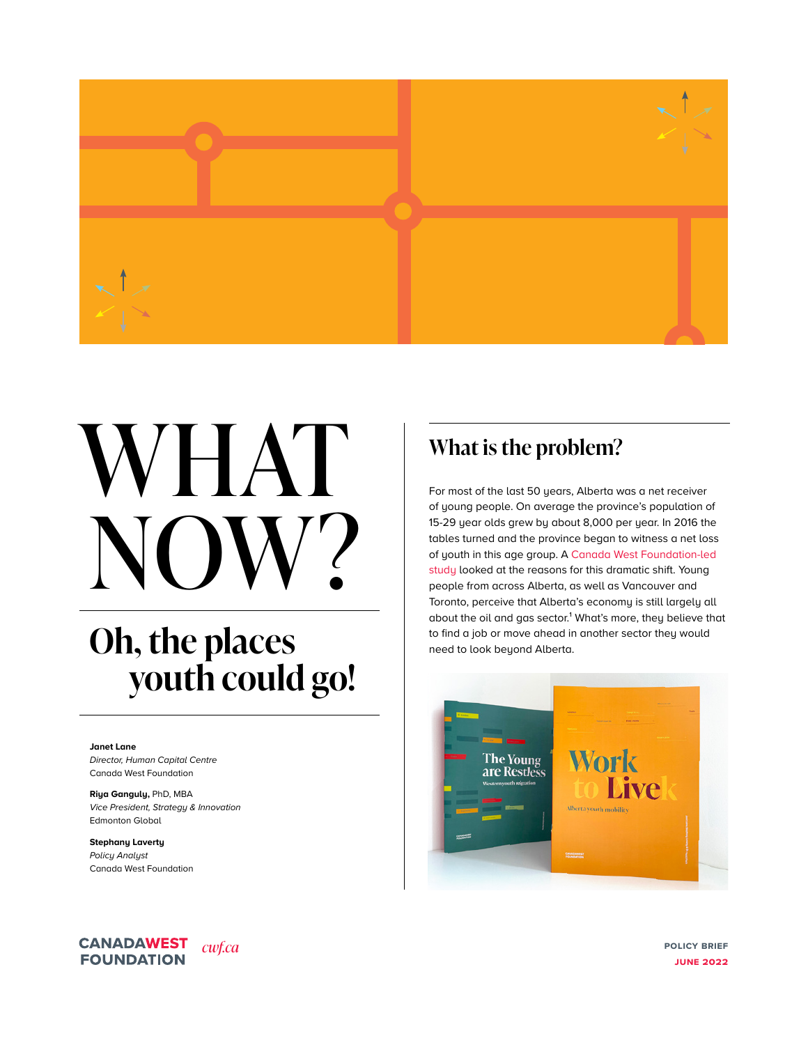

# WHAT NOW?

## **Oh, the places youth could go!**

#### **Janet Lane**

*Director, Human Capital Centre* Canada West Foundation

**Riya Ganguly,** PhD, MBA *Vice President, Strategy & Innovation* Edmonton Global

**Stephany Laverty** *Policy Analyst* Canada West Foundation

#### **CANADAWEST** *[cwf.ca](http://cwf.ca)* **FOUNDATION**

## **What is the problem?**

For most of the last 50 years, Alberta was a net receiver of young people. On average the province's population of 15-29 year olds grew by about 8,000 per year. In 2016 the tables turned and the province began to witness a net loss of youth in this age group. A [Canada West Foundation-led](https://cwf.ca/research/publications/new-report-work-to-live-alberta-youth-mobility/)  [study](https://cwf.ca/research/publications/new-report-work-to-live-alberta-youth-mobility/) looked at the reasons for this dramatic shift. Young people from across Alberta, as well as Vancouver and Toronto, perceive that Alberta's economy is still largely all about the oil and gas sector.<sup>1</sup> What's more, they believe that to find a job or move ahead in another sector they would need to look beyond Alberta.



**policy brief june 2022**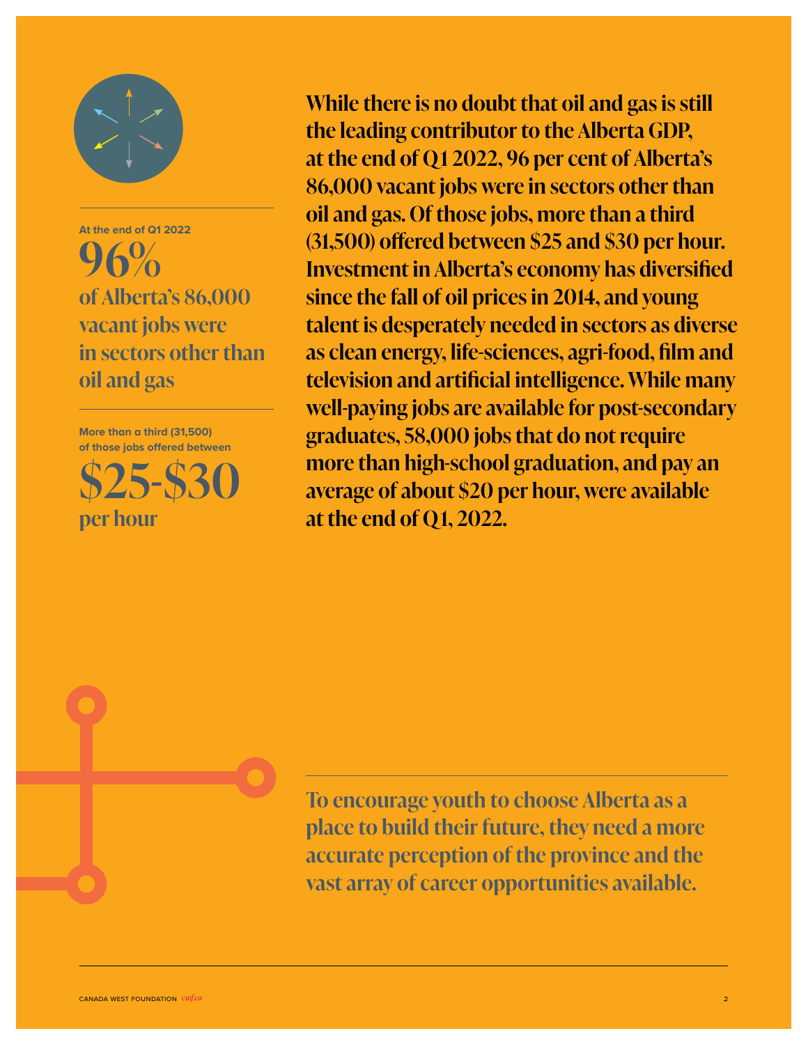

**At the end of Q1 2022**  $\Omega$ **of Alberta's 86,000 vacant jobs were in sectors other than oil and gas**

**More than a third (31,500) of those jobs offered between**

**\$25-\$30 per hour**

**While there is no doubt that oil and gas is still the leading contributor to the Alberta GDP, at the end of Q1 2022, 96 per cent of Alberta's 86,000 vacant jobs were in sectors other than oil and gas. Of those jobs, more than a third (31,500) offered between \$25 and \$30 per hour. Investment in Alberta's economy has diversified since the fall of oil prices in 2014, and young talent is desperately needed in sectors as diverse as clean energy, life-sciences, agri-food, film and television and artificial intelligence. While many well-paying jobs are available for post-secondary graduates, 58,000 jobs that do not require more than high-school graduation, and pay an average of about \$20 per hour, were available at the end of Q1, 2022.** 

**To encourage youth to choose Alberta as a place to build their future, they need a more accurate perception of the province and the vast array of career opportunities available.**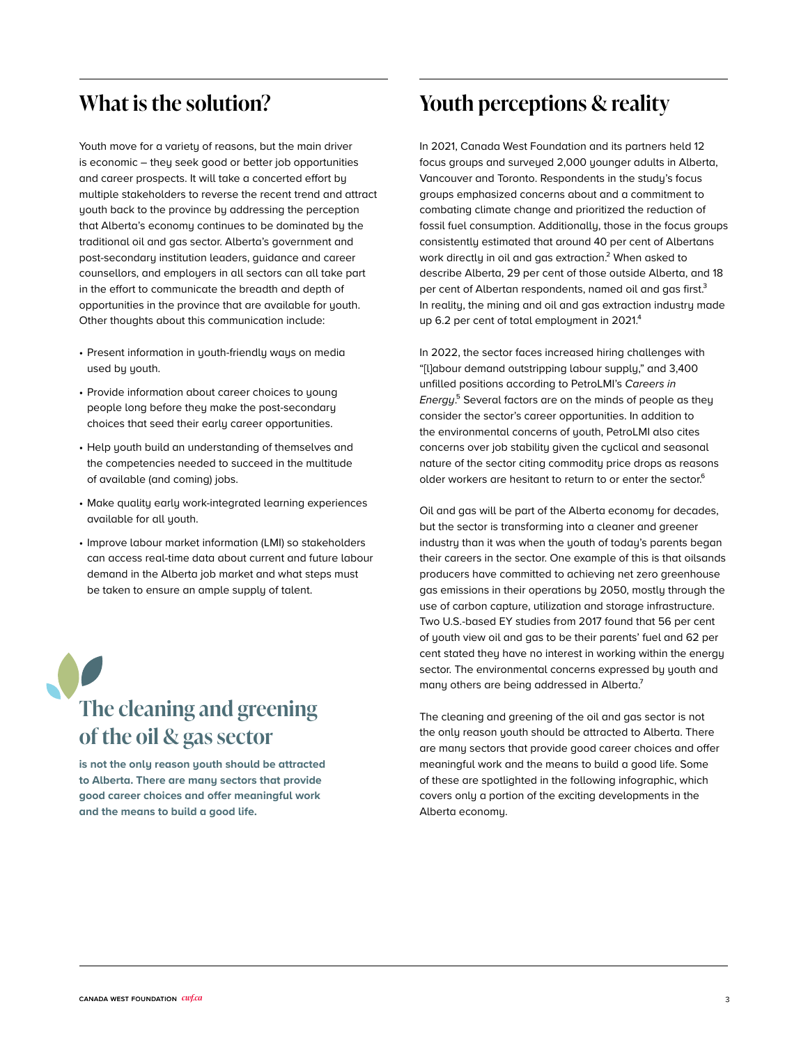## **What is the solution?**

Youth move for a variety of reasons, but the main driver is economic – they seek good or better job opportunities and career prospects. It will take a concerted effort by multiple stakeholders to reverse the recent trend and attract youth back to the province by addressing the perception that Alberta's economy continues to be dominated by the traditional oil and gas sector. Alberta's government and post-secondary institution leaders, guidance and career counsellors, and employers in all sectors can all take part in the effort to communicate the breadth and depth of opportunities in the province that are available for youth. Other thoughts about this communication include:

- Present information in youth-friendly ways on media used by youth.
- Provide information about career choices to young people long before they make the post-secondary choices that seed their early career opportunities.
- Help youth build an understanding of themselves and the competencies needed to succeed in the multitude of available (and coming) jobs.
- Make quality early work-integrated learning experiences available for all youth.
- Improve labour market information (LMI) so stakeholders can access real-time data about current and future labour demand in the Alberta job market and what steps must be taken to ensure an ample supply of talent.

**The cleaning and greening of the oil & gas sector** 

**is not the only reason youth should be attracted to Alberta. There are many sectors that provide good career choices and offer meaningful work and the means to build a good life.**

## **Youth perceptions & reality**

In 2021, Canada West Foundation and its partners held 12 focus groups and surveyed 2,000 younger adults in Alberta, Vancouver and Toronto. Respondents in the study's focus groups emphasized concerns about and a commitment to combating climate change and prioritized the reduction of fossil fuel consumption. Additionally, those in the focus groups consistently estimated that around 40 per cent of Albertans work directly in oil and gas extraction.<sup>2</sup> When asked to describe Alberta, 29 per cent of those outside Alberta, and 18 per cent of Albertan respondents, named oil and gas first.<sup>3</sup> In reality, the mining and oil and gas extraction industry made up 6.2 per cent of total employment in 2021.<sup>4</sup>

In 2022, the sector faces increased hiring challenges with "[l]abour demand outstripping labour supply," and 3,400 unfilled positions according to PetroLMI's *Careers in Energy*.⁵ Several factors are on the minds of people as they consider the sector's career opportunities. In addition to the environmental concerns of youth, PetroLMI also cites concerns over job stability given the cyclical and seasonal nature of the sector citing commodity price drops as reasons older workers are hesitant to return to or enter the sector.<sup>6</sup>

Oil and gas will be part of the Alberta economy for decades, but the sector is transforming into a cleaner and greener industry than it was when the youth of today's parents began their careers in the sector. One example of this is that oilsands producers have committed to achieving net zero greenhouse gas emissions in their operations by 2050, mostly through the use of carbon capture, utilization and storage infrastructure. Two U.S.-based EY studies from 2017 found that 56 per cent of youth view oil and gas to be their parents' fuel and 62 per cent stated they have no interest in working within the energy sector. The environmental concerns expressed by youth and many others are being addressed in Alberta.<sup>7</sup>

The cleaning and greening of the oil and gas sector is not the only reason youth should be attracted to Alberta. There are many sectors that provide good career choices and offer meaningful work and the means to build a good life. Some of these are spotlighted in the following infographic, which covers only a portion of the exciting developments in the Alberta economy.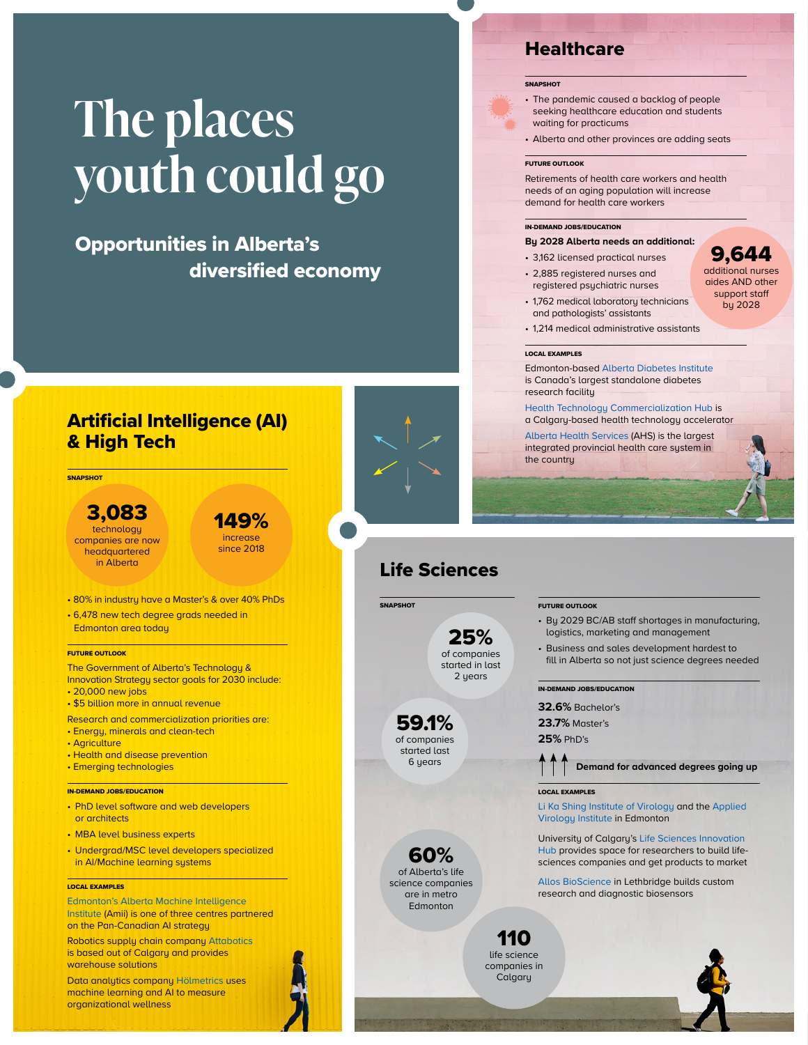## **The places youth could go**

## Opportunities in Alberta's diversified economy

## Artificial Intelligence (AI) & High Tech

**SNAPSHOT** 

#### 3,083 technology companies are now headquartered<br>in Alberta

149% increase since 2018

• 80% in industry have a Master's & over 40% PhDs

• 6,478 new tech degree grads needed in Edmonton area today

#### FUTURE OUTLOOK

The Government of Alberta's Technology & Innovation Strategy sector goals for 2030 include:

- 20,000 new jobs • \$5 billion more in annual revenue
- Research and commercialization priorities are:

• Energy, minerals and clean-tech

- Agriculture
- Health and disease prevention
- Emerging technologies

#### IN-DEMAND JOBS/EDUCATION

- PhD level software and web developers or architects
- MBA level business experts
- Undergrad/MSC level developers specialized in AI/Machine learning systems

#### LOCAL EXAMPLES

[Edmonton's Alberta Machine Intelligence](https://www.amii.ca/)  [Institute](https://www.amii.ca/) (Amii) is one of three centres partnered on the Pan-Canadian AI strategy

Robotics supply chain company [Attabotics](https://www.attabotics.com/) is based out of Calgary and provides warehouse solutions

canada west foundation west foundation **control with the control west foundation**  $\mathbf{r}$ Data analytics company [Hölmetrics](https://www.holmetrics.com/) uses machine learning and AI to measure organizational wellness

## Life Sciences

**SNAPSHOT** 

25% of companies started in last

59.1% of companies started last 6 years

60% of Alberta's life science companies are in metro Edmonton

FUTURE OUTLOOK

- By 2029 BC/AB staff shortages in manufacturing, logistics, marketing and management
- Business and sales development hardest to fill in Alberta so not just science degrees needed

#### IN-DEMAND JOBS/EDUCATION

**32.6%** Bachelor's

**23.7%** Master's

**25%** PhD's

 **Demand for advanced degrees going up**

#### LOCAL EXAMPLES

[Li Ka Shing Institute of Virology](https://www.ualberta.ca/li-ka-shing-institute-virology/index.html) and the [Applied](https://www.ualberta.ca/li-ka-shing-institute-virology/li-ka-shing-applied-virology-institute/index.html)  [Virology Institute](https://www.ualberta.ca/li-ka-shing-institute-virology/li-ka-shing-applied-virology-institute/index.html) in Edmonton

University of Calgary's [Life Sciences Innovation](https://research.ucalgary.ca/innovation/ecosystem/life-sciences-innovation-hub)  [Hub](https://research.ucalgary.ca/innovation/ecosystem/life-sciences-innovation-hub) provides space for researchers to build lifesciences companies and get products to market

[Allos BioScience](https://www.allosbioscience.com/) in Lethbridge builds custom research and diagnostic biosensors

110 life science companies in **Calgary** 



### **Healthcare**

#### **SNAPSHOT**

- The pandemic caused a backlog of people seeking healthcare education and students waiting for practicums
- Alberta and other provinces are adding seats

#### FUTURE OUTLOOK

Retirements of health care workers and health needs of an aging population will increase demand for health care workers

> 9,644 additional nurses aides AND other support staff by 2028

#### IN-DEMAND JOBS/EDUCATION

#### **By 2028 Alberta needs an additional:**

- 3,162 licensed practical nurses
- 2,885 registered nurses and registered psychiatric nurses
- 1,762 medical laboratory technicians and pathologists' assistants
- 1,214 medical administrative assistants

#### LOCAL EXAMPLES

Edmonton-based [Alberta Diabetes Institute](https://www.ualberta.ca/alberta-diabetes/index.html) is Canada's largest standalone diabetes research facility

[Health Technology Commercialization Hub](https://brightsquid.com/pages/hatch) is a Calgary-based health technology accelerator

[Alberta Health Services](https://www.albertahealthservices.ca/) (AHS) is the largest integrated provincial health care system in the country

2 years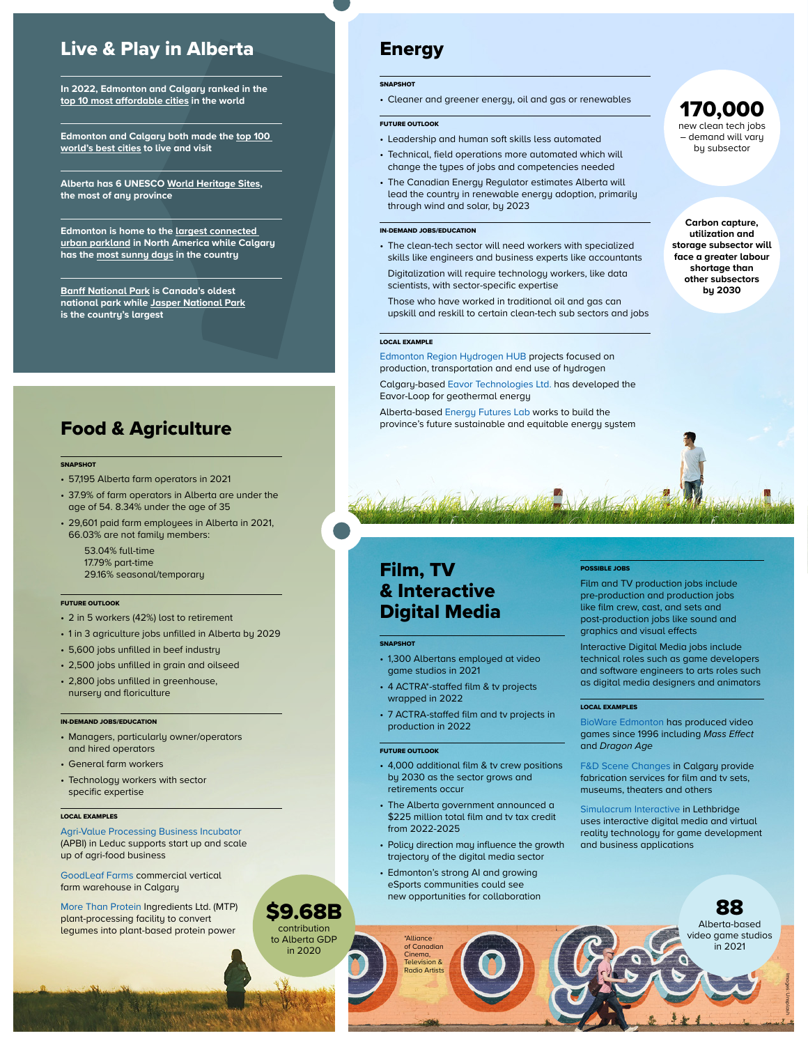## Live & Play in Alberta

**In 2022, Edmonton and Calgary ranked in the [top 10 most affordable cities](http://www.demographia.com/dhi.pdf) in the world**

**Edmonton and Calgary both made the [top 100](https://www.bestcities.org/rankings/worlds-best-cities/)  [world's best cities](https://www.bestcities.org/rankings/worlds-best-cities/) to live and visit**

**Alberta has 6 UNESCO [World Heritage Sites](https://www.pc.gc.ca/en/culture/spm-whs/sites-canada), the most of any province**

**Edmonton is home to the [largest connected](https://exploreedmonton.com/attractions-and-experiences/north-saskatchewan-river-valley)  [urban parkland](https://exploreedmonton.com/attractions-and-experiences/north-saskatchewan-river-valley) in North America while Calgary has the [most sunny days](https://www.worldatlas.com/articles/the-sunniest-cities-in-canada.html) in the country**

**[Banff National Park](https://www.pc.gc.ca/en/pn-np/ab/banff) is Canada's oldest national park while [Jasper National Park](https://www.pc.gc.ca/en/pn-np/ab/jasper) is the country's largest**

## Food & Agriculture

#### **SNAPSHOT**

- 57,195 Alberta farm operators in 2021
- 37.9% of farm operators in Alberta are under the age of 54. 8.34% under the age of 35
- 29,601 paid farm employees in Alberta in 2021, 66.03% are not family members:

53.04% full-time 17.79% part-time 29.16% seasonal/temporary

#### FUTURE OUTLOOK

- 2 in 5 workers (42%) lost to retirement
- 1 in 3 agriculture jobs unfilled in Alberta by 2029
- 5,600 jobs unfilled in beef industry
- 2,500 jobs unfilled in grain and oilseed
- 2,800 jobs unfilled in greenhouse, nursery and floriculture

#### IN-DEMAND JOBS/EDUCATION

- Managers, particularly owner/operators and hired operators
- General farm workers
- Technology workers with sector specific expertise

#### LOCAL EXAMPLES

[Agri-Value Processing Business Incubator](https://www.alberta.ca/agrivalue-processing-business-Incubator.aspx) (APBI) in Leduc supports start up and scale up of agri-food business

[GoodLeaf Farms](https://www.goodleaffarms.com/news/calgary-farm-investment) commercial vertical farm warehouse in Calgary

[More Than Protein](https://morethanprotein.ca/) Ingredients Ltd. (MTP) plant-processing facility to convert legumes into plant-based protein power

## Energy

#### **SNAPSHOT**

• Cleaner and greener energy, oil and gas or renewables

#### FUTURE OUTLOOK

- Leadership and human soft skills less automated
- Technical, field operations more automated which will change the types of jobs and competencies needed
- The Canadian Energy Regulator estimates Alberta will lead the country in renewable energy adoption, primarily through wind and solar, by 2023

#### IN-DEMAND JOBS/EDUCATION

- The clean-tech sector will need workers with specialized skills like engineers and business experts like accountants
- Digitalization will require technology workers, like data scientists, with sector-specific expertise
- Those who have worked in traditional oil and gas can upskill and reskill to certain clean-tech sub sectors and jobs

#### LOCAL EXAMPLE

[Edmonton Region Hydrogen HUB](https://erh2.ca/) projects focused on production, transportation and end use of hydrogen

Calgary-based [Eavor Technologies Ltd.](https://www.eavor.com/) has developed the Eavor-Loop for geothermal energy

Alberta-based [Energy Futures Lab](https://energyfutureslab.com/) works to build the province's future sustainable and equitable energy system

## Film, TV & Interactive Digital Media

#### **SNAPSHOT**

- 1,300 Albertans employed at video game studios in 2021
- 4 ACTRA\*-staffed film & tv projects wrapped in 2022
- 7 ACTRA-staffed film and tv projects in production in 2022

#### FUTURE OUTLOOK

canada west foundation *cwf.ca* 5

\$9.68B contribution to Alberta GDP in 2020

\*Alliance of Canadian Cinema, Television & Radio Artists

- 4,000 additional film & tv crew positions by 2030 as the sector grows and retirements occur
- The Alberta government announced a \$225 million total film and tv tax credit from 2022-2025
- Policy direction may influence the growth trajectory of the digital media sector
- Edmonton's strong AI and growing eSports communities could see new opportunities for collaboration

#### POSSIBLE JOBS

Film and TV production jobs include pre-production and production jobs like film crew, cast, and sets and post-production jobs like sound and graphics and visual effects

Interactive Digital Media jobs include technical roles such as game developers and software engineers to arts roles such as digital media designers and animators

170,000 new clean tech jobs – demand will vary by subsector

**Carbon capture, utilization and storage subsector will face a greater labour shortage than other subsectors by 2030**

#### LOCAL EXAMPLES

[BioWare Edmonton](https://www.bioware.com/studios/bioware-edmonton/) has produced video games since 1996 including Mass Effect and *Dragon Age*

[F&D Scene Changes](https://fdscene.com/) in Calgary provide fabrication services for film and tv sets, museums, theaters and others

[Simulacrum Interactive](http://simulacruminteractive.ca/) in Lethbridge uses interactive digital media and virtual reality technology for game development and business applications

> 88 Alberta-based video game studios in 2021

> > Images: Unsplash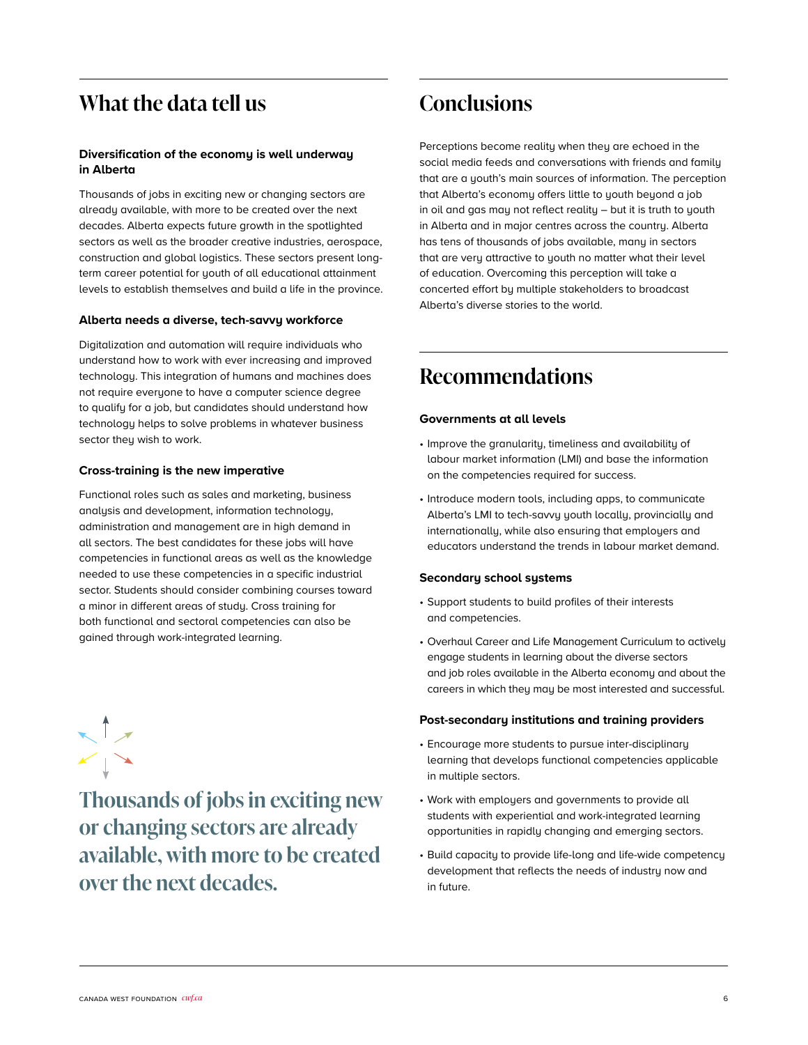## **What the data tell us**

#### **Diversification of the economy is well underway in Alberta**

Thousands of jobs in exciting new or changing sectors are already available, with more to be created over the next decades. Alberta expects future growth in the spotlighted sectors as well as the broader creative industries, aerospace, construction and global logistics. These sectors present longterm career potential for youth of all educational attainment levels to establish themselves and build a life in the province.

#### **Alberta needs a diverse, tech-savvy workforce**

Digitalization and automation will require individuals who understand how to work with ever increasing and improved technology. This integration of humans and machines does not require everyone to have a computer science degree to qualify for a job, but candidates should understand how technology helps to solve problems in whatever business sector they wish to work.

#### **Cross-training is the new imperative**

Functional roles such as sales and marketing, business analysis and development, information technology, administration and management are in high demand in all sectors. The best candidates for these jobs will have competencies in functional areas as well as the knowledge needed to use these competencies in a specific industrial sector. Students should consider combining courses toward a minor in different areas of study. Cross training for both functional and sectoral competencies can also be gained through work-integrated learning.

**Thousands of jobs in exciting new or changing sectors are already available, with more to be created over the next decades.** 

## **Conclusions**

Perceptions become reality when they are echoed in the social media feeds and conversations with friends and family that are a youth's main sources of information. The perception that Alberta's economy offers little to youth beyond a job in oil and gas may not reflect reality – but it is truth to youth in Alberta and in major centres across the country. Alberta has tens of thousands of jobs available, many in sectors that are very attractive to youth no matter what their level of education. Overcoming this perception will take a concerted effort by multiple stakeholders to broadcast Alberta's diverse stories to the world.

## **Recommendations**

#### **Governments at all levels**

- Improve the granularity, timeliness and availability of labour market information (LMI) and base the information on the competencies required for success.
- Introduce modern tools, including apps, to communicate Alberta's LMI to tech-savvy youth locally, provincially and internationally, while also ensuring that employers and educators understand the trends in labour market demand.

#### **Secondary school systems**

- Support students to build profiles of their interests and competencies.
- Overhaul Career and Life Management Curriculum to actively engage students in learning about the diverse sectors and job roles available in the Alberta economy and about the careers in which they may be most interested and successful.

#### **Post-secondary institutions and training providers**

- Encourage more students to pursue inter-disciplinary learning that develops functional competencies applicable in multiple sectors.
- Work with employers and governments to provide all students with experiential and work-integrated learning opportunities in rapidly changing and emerging sectors.
- Build capacity to provide life-long and life-wide competency development that reflects the needs of industry now and in future.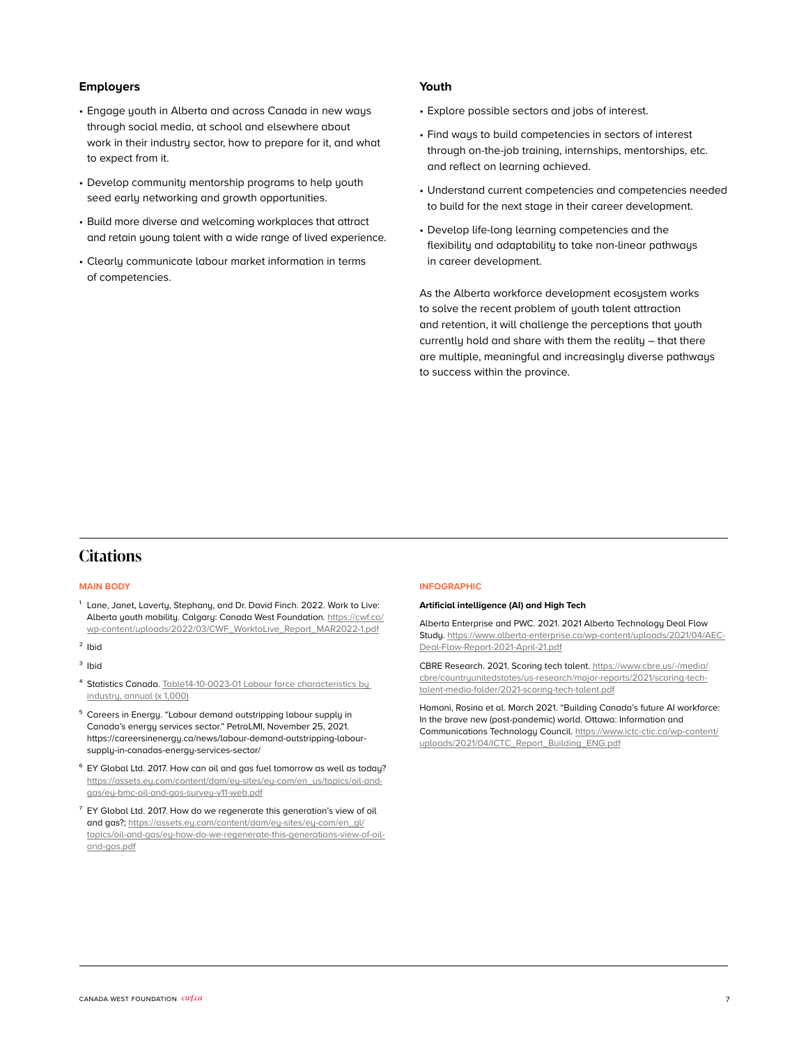#### **Employers**

- Engage youth in Alberta and across Canada in new ways through social media, at school and elsewhere about work in their industry sector, how to prepare for it, and what to expect from it.
- Develop community mentorship programs to help youth seed early networking and growth opportunities.
- Build more diverse and welcoming workplaces that attract and retain young talent with a wide range of lived experience.
- Clearly communicate labour market information in terms of competencies.

#### **Youth**

- Explore possible sectors and jobs of interest.
- Find ways to build competencies in sectors of interest through on-the-job training, internships, mentorships, etc. and reflect on learning achieved.
- Understand current competencies and competencies needed to build for the next stage in their career development.
- Develop life-long learning competencies and the flexibility and adaptability to take non-linear pathways in career development.

As the Alberta workforce development ecosystem works to solve the recent problem of youth talent attraction and retention, it will challenge the perceptions that youth currently hold and share with them the reality – that there are multiple, meaningful and increasingly diverse pathways to success within the province.

#### **Citations**

#### **MAIN BODY**

- $1$  Lane, Janet, Laverty, Stephany, and Dr. David Finch. 2022. Work to Live: Alberta youth mobility. Calgary: Canada West Foundation. [https://cwf.ca/](https://cwf.ca/wp-content/uploads/2022/03/CWF_WorktoLive_Report_MAR2022-1.pdf) [wp-content/uploads/2022/03/CWF\\_WorktoLive\\_Report\\_MAR2022-1.pdf](https://cwf.ca/wp-content/uploads/2022/03/CWF_WorktoLive_Report_MAR2022-1.pdf)
- ² Ibid
- <sup>3</sup> Ibid
- ⁴ Statistics Canada. [Table14-10-0023-01 Labour force characteristics by](https://www150.statcan.gc.ca/t1/tbl1/en/tv.action?pid=1410002301)  [industry, annual \(x 1,000\)](https://www150.statcan.gc.ca/t1/tbl1/en/tv.action?pid=1410002301)
- <sup>5</sup> Careers in Energy. "Labour demand outstripping labour supply in Canada's energy services sector." PetroLMI, November 25, 2021. https://careersinenergy.ca/news/labour-demand-outstripping-laboursupply-in-canadas-energy-services-sector/
- ⁶ EY Global Ltd. 2017. How can oil and gas fuel tomorrow as well as today? [https://assets.ey.com/content/dam/ey-sites/ey-com/en\\_us/topics/oil-and](https://assets.ey.com/content/dam/ey-sites/ey-com/en_us/topics/oil-and-gas/ey-bmc-oil-and-gas-survey-v11-web.pdf)[gas/ey-bmc-oil-and-gas-survey-v11-web.pdf](https://assets.ey.com/content/dam/ey-sites/ey-com/en_us/topics/oil-and-gas/ey-bmc-oil-and-gas-survey-v11-web.pdf)
- $7$  EY Global Ltd. 2017. How do we regenerate this generation's view of oil and gas?; [https://assets.ey.com/content/dam/ey-sites/ey-com/en\\_gl/](https://assets.ey.com/content/dam/ey-sites/ey-com/en_gl/topics/oil-and-gas/ey-how-do-we-regenerate-this-generations-view-of-oil-and-gas.pdf) [topics/oil-and-gas/ey-how-do-we-regenerate-this-generations-view-of-oil](https://assets.ey.com/content/dam/ey-sites/ey-com/en_gl/topics/oil-and-gas/ey-how-do-we-regenerate-this-generations-view-of-oil-and-gas.pdf)[and-gas.pdf](https://assets.ey.com/content/dam/ey-sites/ey-com/en_gl/topics/oil-and-gas/ey-how-do-we-regenerate-this-generations-view-of-oil-and-gas.pdf)

#### **INFOGRAPHIC**

#### **Artificial intelligence (AI) and High Tech**

Alberta Enterprise and PWC. 2021. 2021 Alberta Technology Deal Flow Study. [https://www.alberta-enterprise.ca/wp-content/uploads/2021/04/AEC-](https://www.alberta-enterprise.ca/wp-content/uploads/2021/04/AEC-Deal-Flow-Report-2021-April-21.pdf)[Deal-Flow-Report-2021-April-21.pdf](https://www.alberta-enterprise.ca/wp-content/uploads/2021/04/AEC-Deal-Flow-Report-2021-April-21.pdf)

CBRE Research. 2021. Scoring tech talent. [https://www.cbre.us/-/media/](https://www.cbre.us/-/media/cbre/countryunitedstates/us-research/major-reports/2021/scoring-tech-talent-media-folder/2021-scoring-tech-talent.pdf) [cbre/countryunitedstates/us-research/major-reports/2021/scoring-tech](https://www.cbre.us/-/media/cbre/countryunitedstates/us-research/major-reports/2021/scoring-tech-talent-media-folder/2021-scoring-tech-talent.pdf)[talent-media-folder/2021-scoring-tech-talent.pdf](https://www.cbre.us/-/media/cbre/countryunitedstates/us-research/major-reports/2021/scoring-tech-talent-media-folder/2021-scoring-tech-talent.pdf)

Hamoni, Rosina et al. March 2021. "Building Canada's future AI workforce: In the brave new (post-pandemic) world. Ottawa: Information and Communications Technology Council. [https://www.ictc-ctic.ca/wp-content/](https://www.ictc-ctic.ca/wp-content/uploads/2021/04/ICTC_Report_Building_ENG.pdf) [uploads/2021/04/ICTC\\_Report\\_Building\\_ENG.pdf](https://www.ictc-ctic.ca/wp-content/uploads/2021/04/ICTC_Report_Building_ENG.pdf)